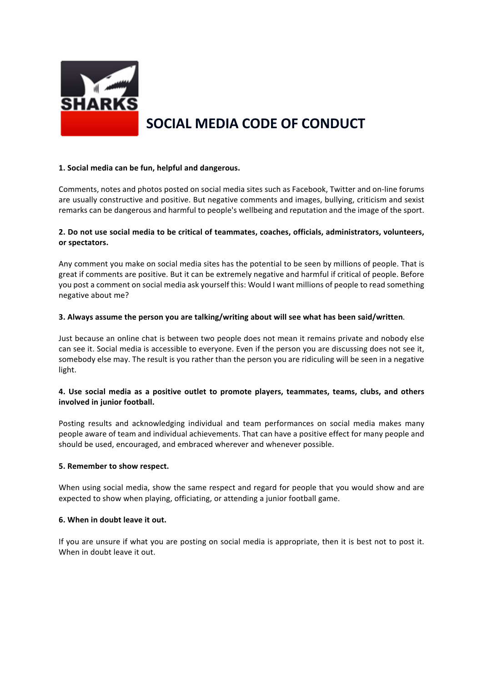

# **SOCIAL MEDIA CODE OF CONDUCT**

#### **1. Social media can be fun, helpful and dangerous.**

Comments, notes and photos posted on social media sites such as Facebook, Twitter and on-line forums are usually constructive and positive. But negative comments and images, bullying, criticism and sexist remarks can be dangerous and harmful to people's wellbeing and reputation and the image of the sport.

### **2. Do not use social media to be critical of teammates, coaches, officials, administrators, volunteers, or spectators.**

Any comment you make on social media sites has the potential to be seen by millions of people. That is great if comments are positive. But it can be extremely negative and harmful if critical of people. Before you post a comment on social media ask yourself this: Would I want millions of people to read something negative about me?

#### **3. Always assume the person you are talking/writing about will see what has been said/written**.

Just because an online chat is between two people does not mean it remains private and nobody else can see it. Social media is accessible to everyone. Even if the person you are discussing does not see it, somebody else may. The result is you rather than the person you are ridiculing will be seen in a negative light.

#### **4. Use social media as a positive outlet to promote players, teammates, teams, clubs, and others involved in junior football.**

Posting results and acknowledging individual and team performances on social media makes many people aware of team and individual achievements. That can have a positive effect for many people and should be used, encouraged, and embraced wherever and whenever possible.

#### **5. Remember to show respect.**

When using social media, show the same respect and regard for people that you would show and are expected to show when playing, officiating, or attending a junior football game.

#### **6. When in doubt leave it out.**

If you are unsure if what you are posting on social media is appropriate, then it is best not to post it. When in doubt leave it out.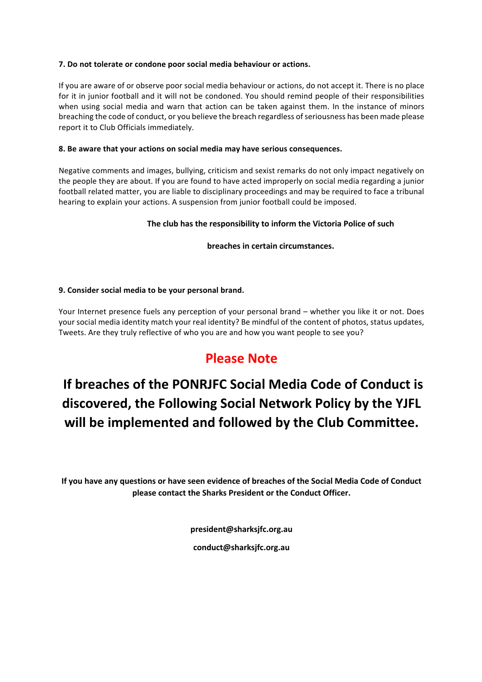## **7. Do not tolerate or condone poor social media behaviour or actions.**

If you are aware of or observe poor social media behaviour or actions, do not accept it. There is no place for it in junior football and it will not be condoned. You should remind people of their responsibilities when using social media and warn that action can be taken against them. In the instance of minors breaching the code of conduct, or you believe the breach regardless of seriousness has been made please report it to Club Officials immediately.

## **8. Be aware that your actions on social media may have serious consequences.**

Negative comments and images, bullying, criticism and sexist remarks do not only impact negatively on the people they are about. If you are found to have acted improperly on social media regarding a junior football related matter, you are liable to disciplinary proceedings and may be required to face a tribunal hearing to explain your actions. A suspension from junior football could be imposed.

# **The club has the responsibility to inform the Victoria Police of such**

## **breaches in certain circumstances.**

## **9. Consider social media to be your personal brand.**

Your Internet presence fuels any perception of your personal brand – whether you like it or not. Does your social media identity match your real identity? Be mindful of the content of photos, status updates, Tweets. Are they truly reflective of who you are and how you want people to see you?

# **Please Note**

# **If breaches of the PONRJFC Social Media Code of Conduct is discovered, the Following Social Network Policy by the YJFL will be implemented and followed by the Club Committee.**

**If you have any questions or have seen evidence of breaches of the Social Media Code of Conduct please contact the Sharks President or the Conduct Officer.**

**president@sharksjfc.org.au**

**conduct@sharksjfc.org.au**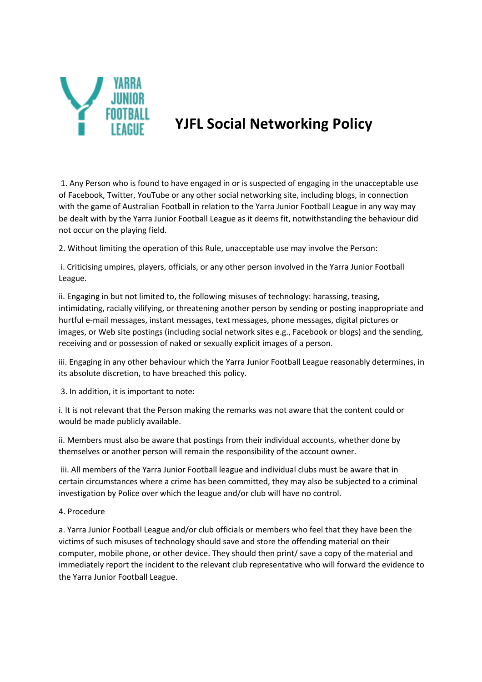

# **YJFL Social Networking Policy**

1. Any Person who is found to have engaged in or is suspected of engaging in the unacceptable use of Facebook, Twitter, YouTube or any other social networking site, including blogs, in connection with the game of Australian Football in relation to the Yarra Junior Football League in any way may be dealt with by the Yarra Junior Football League as it deems fit, notwithstanding the behaviour did not occur on the playing field.

2. Without limiting the operation of this Rule, unacceptable use may involve the Person:

i. Criticising umpires, players, officials, or any other person involved in the Yarra Junior Football League.

ii. Engaging in but not limited to, the following misuses of technology: harassing, teasing, intimidating, racially vilifying, or threatening another person by sending or posting inappropriate and hurtful e-mail messages, instant messages, text messages, phone messages, digital pictures or images, or Web site postings (including social network sites e.g., Facebook or blogs) and the sending, receiving and or possession of naked or sexually explicit images of a person.

iii. Engaging in any other behaviour which the Yarra Junior Football League reasonably determines, in its absolute discretion, to have breached this policy.

3. In addition, it is important to note:

i. It is not relevant that the Person making the remarks was not aware that the content could or would be made publicly available.

ii. Members must also be aware that postings from their individual accounts, whether done by themselves or another person will remain the responsibility of the account owner.

iii. All members of the Yarra Junior Football league and individual clubs must be aware that in certain circumstances where a crime has been committed, they may also be subjected to a criminal investigation by Police over which the league and/or club will have no control.

# 4. Procedure

a. Yarra Junior Football League and/or club officials or members who feel that they have been the victims of such misuses of technology should save and store the offending material on their computer, mobile phone, or other device. They should then print/ save a copy of the material and immediately report the incident to the relevant club representative who will forward the evidence to the Yarra Junior Football League.